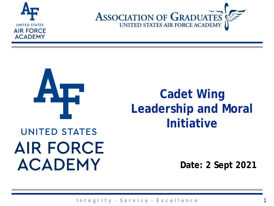





### **Cadet Wing Leadership and Moral Initiative**

### **UNITED STATES AIR FORCE ACADEMY**

**Date: 2 Sept 2021**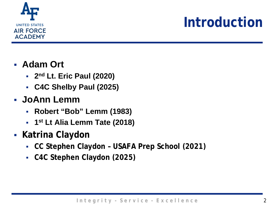

### **Introduction**

#### **Adam Ort**

- **2nd Lt. Eric Paul (2020)**
- **C4C Shelby Paul (2025)**

### **JoAnn Lemm**

- **Robert "Bob" Lemm (1983)**
- **1st Lt Alia Lemm Tate (2018)**
- **Katrina Claydon** 
	- **CC Stephen Claydon – USAFA Prep School (2021)**
	- **C4C Stephen Claydon (2025)**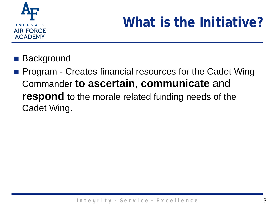

# **What is the Initiative?**

■ Background

**Program - Creates financial resources for the Cadet Wing** Commander **to ascertain**, **communicate** and **respond** to the morale related funding needs of the Cadet Wing.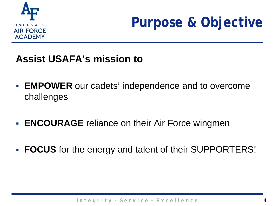

### **Purpose & Objective**

### **Assist USAFA's mission to**

- **EMPOWER** our cadets' independence and to overcome challenges
- **ENCOURAGE** reliance on their Air Force wingmen
- **FOCUS** for the energy and talent of their SUPPORTERS!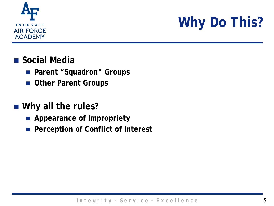

## **Why Do This?**

#### **Social Media**

- **Parent "Squadron" Groups**
- **Other Parent Groups**

#### **Why all the rules?**

- **Appearance of Impropriety**
- Perception of Conflict of Interest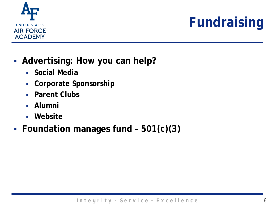

# **Fundraising**

- **Advertising: How you can help?**
	- **Social Media**
	- **Corporate Sponsorship**
	- **Parent Clubs**
	- **Alumni**
	- **Website**
- **Foundation manages fund – 501(c)(3)**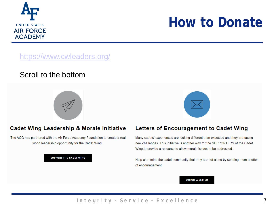

### **How to Donate**

#### <https://www.cwleaders.org/>

#### Scroll to the bottom





#### **Cadet Wing Leadership & Morale Initiative**

The AOG has partnered with the Air Force Academy Foundation to create a real world leadership opportunity for the Cadet Wing.

#### **SUPPORT THE CADET WING**



Many cadets' experiences are looking different than expected and they are facing new challenges. This initiative is another way for the SUPPORTERS of the Cadet Wing to provide a resource to allow morale issues to be addressed.

Help us remind the cadet community that they are not alone by sending them a letter of encouragement.

#### **SUBMIT A LETTER**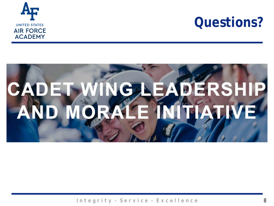

### **Questions?**

### ı DERSHIP **CADET WING NITIATIV AND MOR**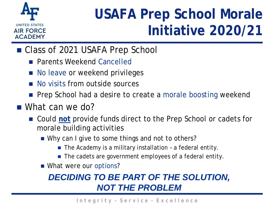

### **USAFA Prep School Morale Initiative 2020/21**

- Class of 2021 USAFA Prep School
	- **Parents Weekend Cancelled**
	- No leave or weekend privileges
	- **No visits from outside sources**
	- **Prep School had a desire to create a morale boosting weekend**
- What can we do?
	- Could not provide funds direct to the Prep School or cadets for morale building activities
		- Why can I give to some things and not to others?
			- $\blacksquare$  The Academy is a military installation a federal entity.
			- The cadets are government employees of a federal entity.
		- What were our options?

### *DECIDING TO BE PART OF THE SOLUTION, NOT THE PROBLEM*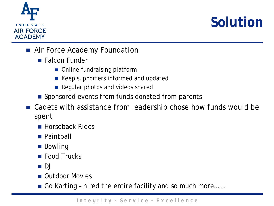

## **Solution**

- **Air Force Academy Foundation** 
	- **Falcon Funder** 
		- Online fundraising platform
		- Keep supporters informed and updated
		- Regular photos and videos shared
	- Sponsored events from funds donated from parents
- Cadets with assistance from leadership chose how funds would be spent
	- **Horseback Rides**
	- Paintball
	- Bowling
	- **Food Trucks**
	- DJ
	- **n** Outdoor Movies
	- Go Karting hired the entire facility and so much more…….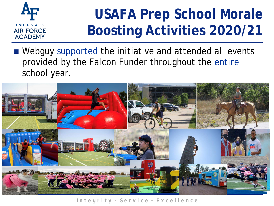

## **USAFA Prep School Morale Boosting Activities 2020/21**

■ Webguy supported the initiative and attended all events provided by the Falcon Funder throughout the entire school year.

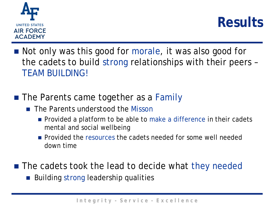



- Not only was this good for morale, it was also good for the cadets to build strong relationships with their peers – TEAM BUILDING!
- The Parents came together as a Family
	- **The Parents understood the Misson** 
		- **Provided a platform to be able to make a difference in their cadets** mental and social wellbeing
		- **Provided the resources the cadets needed for some well needed** down time
- The cadets took the lead to decide what they needed ■ Building strong leadership qualities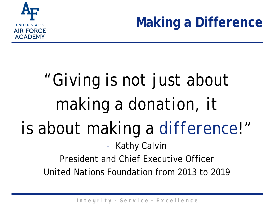

**Making a Difference**

# "*Giving is not just about making a donation, it is about making a difference!"*<br>- Kathy Calvin President and Chief Executive Officer

United Nations Foundation from 2013 to 2019